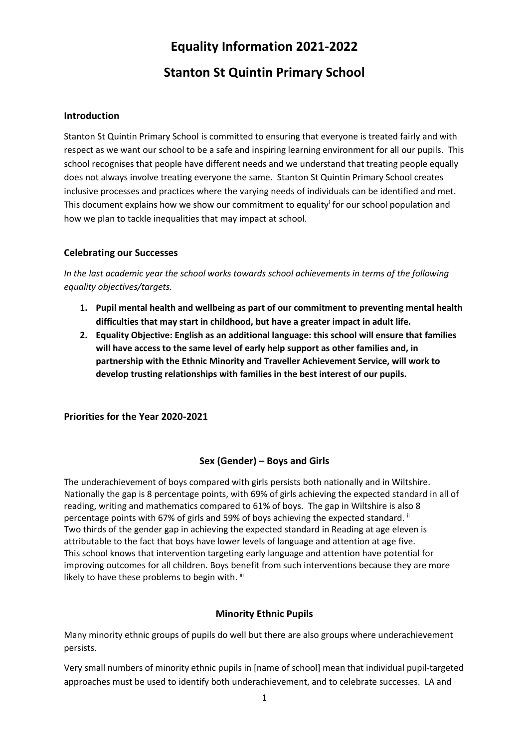# **Equality Information 2021-2022**

# **Stanton St Quintin Primary School**

#### **Introduction**

Stanton St Quintin Primary School is committed to ensuring that everyone is treated fairly and with respect as we want our school to be a safe and inspiring learning environment for all our pupils. This school recognises that people have different needs and we understand that treating people equally does not always involve treating everyone the same. Stanton St Quintin Primary School creates inclusive processes and practices where the varying needs of individuals can be identified and met. This document explains how we show our commitment to equality<sup>i</sup> for our school population and how we plan to tackle inequalities that may impact at school.

## **Celebrating our Successes**

*In the last academic year the school works towards school achievements in terms of the following equality objectives/targets.* 

- **1. Pupil mental health and wellbeing as part of our commitment to preventing mental health difficulties that may start in childhood, but have a greater impact in adult life.**
- **2. Equality Objective: English as an additional language: this school will ensure that families will have access to the same level of early help support as other families and, in partnership with the Ethnic Minority and Traveller Achievement Service, will work to develop trusting relationships with families in the best interest of our pupils.**

**Priorities for the Year 2020-2021**

# **Sex (Gender) – Boys and Girls**

The underachievement of boys compared with girls persists both nationally and in Wiltshire. Nationally the gap is 8 percentage points, with 69% of girls achieving the expected standard in all of reading, writing and mathematics compared to 61% of boys. The gap in Wiltshire is also 8 percentage points with 67% of girls and 59% of boys achieving the expected standard. " Two thirds of the gender gap in achieving the expected standard in Reading at age eleven is attributable to the fact that boys have lower levels of language and attention at age five. This school knows that intervention targeting early language and attention have potential for improving outcomes for all children. Boys benefit from such interventions because they are more likely to have these problems to begin with. iii

# **Minority Ethnic Pupils**

Many minority ethnic groups of pupils do well but there are also groups where underachievement persists.

Very small numbers of minority ethnic pupils in [name of school] mean that individual pupil-targeted approaches must be used to identify both underachievement, and to celebrate successes. LA and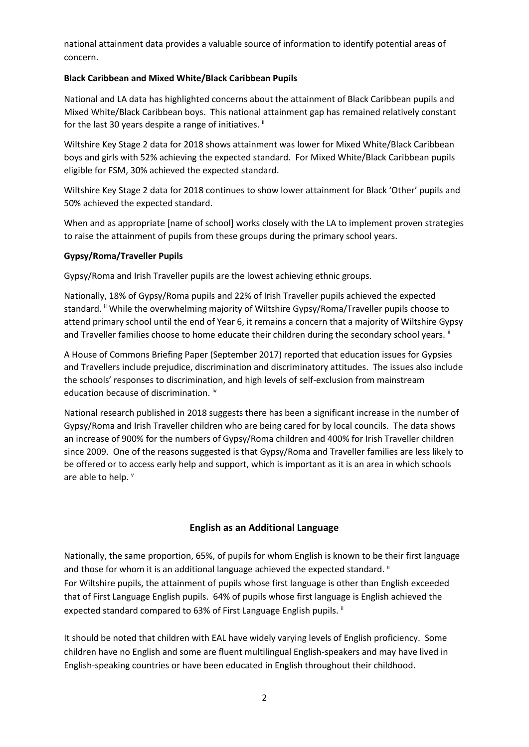national attainment data provides a valuable source of information to identify potential areas of concern.

#### **Black Caribbean and Mixed White/Black Caribbean Pupils**

National and LA data has highlighted concerns about the attainment of Black Caribbean pupils and Mixed White/Black Caribbean boys. This national attainment gap has remained relatively constant for the last 30 years despite a range of initiatives. ii

Wiltshire Key Stage 2 data for 2018 shows attainment was lower for Mixed White/Black Caribbean boys and girls with 52% achieving the expected standard. For Mixed White/Black Caribbean pupils eligible for FSM, 30% achieved the expected standard.

Wiltshire Key Stage 2 data for 2018 continues to show lower attainment for Black 'Other' pupils and 50% achieved the expected standard.

When and as appropriate [name of school] works closely with the LA to implement proven strategies to raise the attainment of pupils from these groups during the primary school years.

#### **Gypsy/Roma/Traveller Pupils**

Gypsy/Roma and Irish Traveller pupils are the lowest achieving ethnic groups.

Nationally, 18% of Gypsy/Roma pupils and 22% of Irish Traveller pupils achieved the expected standard. "While the overwhelming majority of Wiltshire Gypsy/Roma/Traveller pupils choose to attend primary school until the end of Year 6, it remains a concern that a majority of Wiltshire Gypsy and Traveller families choose to home educate their children during the secondary school years. "

A House of Commons Briefing Paper (September 2017) reported that education issues for Gypsies and Travellers include prejudice, discrimination and discriminatory attitudes. The issues also include the schools' responses to discrimination, and high levels of self-exclusion from mainstream education because of discrimination. iv

National research published in 2018 suggests there has been a significant increase in the number of Gypsy/Roma and Irish Traveller children who are being cared for by local councils. The data shows an increase of 900% for the numbers of Gypsy/Roma children and 400% for Irish Traveller children since 2009. One of the reasons suggested is that Gypsy/Roma and Traveller families are less likely to be offered or to access early help and support, which is important as it is an area in which schools are able to help. v

#### **English as an Additional Language**

Nationally, the same proportion, 65%, of pupils for whom English is known to be their first language and those for whom it is an additional language achieved the expected standard.<sup>ii</sup> For Wiltshire pupils, the attainment of pupils whose first language is other than English exceeded that of First Language English pupils. 64% of pupils whose first language is English achieved the expected standard compared to 63% of First Language English pupils. ii

It should be noted that children with EAL have widely varying levels of English proficiency. Some children have no English and some are fluent multilingual English-speakers and may have lived in English-speaking countries or have been educated in English throughout their childhood.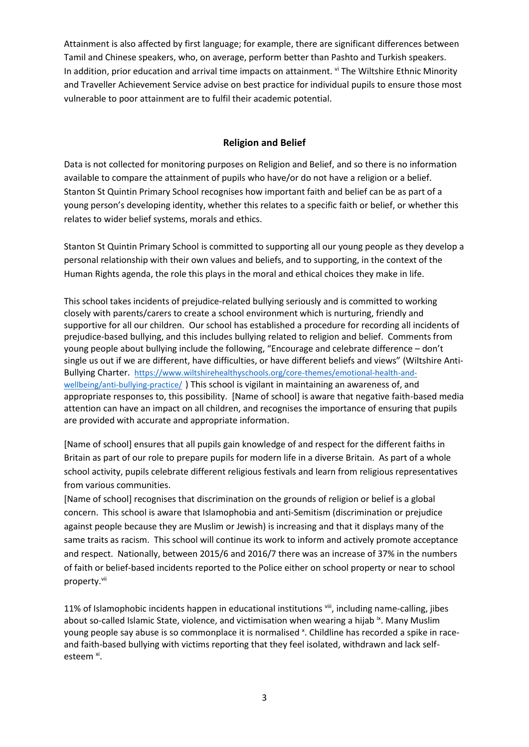Attainment is also affected by first language; for example, there are significant differences between Tamil and Chinese speakers, who, on average, perform better than Pashto and Turkish speakers. In addition, prior education and arrival time impacts on attainment. vi The Wiltshire Ethnic Minority and Traveller Achievement Service advise on best practice for individual pupils to ensure those most vulnerable to poor attainment are to fulfil their academic potential.

#### **Religion and Belief**

Data is not collected for monitoring purposes on Religion and Belief, and so there is no information available to compare the attainment of pupils who have/or do not have a religion or a belief. Stanton St Quintin Primary School recognises how important faith and belief can be as part of a young person's developing identity, whether this relates to a specific faith or belief, or whether this relates to wider belief systems, morals and ethics.

Stanton St Quintin Primary School is committed to supporting all our young people as they develop a personal relationship with their own values and beliefs, and to supporting, in the context of the Human Rights agenda, the role this plays in the moral and ethical choices they make in life.

This school takes incidents of prejudice-related bullying seriously and is committed to working closely with parents/carers to create a school environment which is nurturing, friendly and supportive for all our children. Our school has established a procedure for recording all incidents of prejudice-based bullying, and this includes bullying related to religion and belief. Comments from young people about bullying include the following, "Encourage and celebrate difference – don't single us out if we are different, have difficulties, or have different beliefs and views" (Wiltshire Anti-Bullying Charter. [https://www.wiltshirehealthyschools.org/core-themes/emotional-health-and](https://www.wiltshirehealthyschools.org/core-themes/emotional-health-and-wellbeing/anti-bullying-practice/)[wellbeing/anti-bullying-practice/](https://www.wiltshirehealthyschools.org/core-themes/emotional-health-and-wellbeing/anti-bullying-practice/) ) This school is vigilant in maintaining an awareness of, and appropriate responses to, this possibility. [Name of school] is aware that negative faith-based media attention can have an impact on all children, and recognises the importance of ensuring that pupils are provided with accurate and appropriate information.

[Name of school] ensures that all pupils gain knowledge of and respect for the different faiths in Britain as part of our role to prepare pupils for modern life in a diverse Britain. As part of a whole school activity, pupils celebrate different religious festivals and learn from religious representatives from various communities.

[Name of school] recognises that discrimination on the grounds of religion or belief is a global concern. This school is aware that Islamophobia and anti-Semitism (discrimination or prejudice against people because they are Muslim or Jewish) is increasing and that it displays many of the same traits as racism. This school will continue its work to inform and actively promote acceptance and respect. Nationally, between 2015/6 and 2016/7 there was an increase of 37% in the numbers of faith or belief-based incidents reported to the Police either on school property or near to school property.<sup>vii</sup>

11% of Islamophobic incidents happen in educational institutions vill, including name-calling, jibes about so-called Islamic State, violence, and victimisation when wearing a hijab  $\dot{x}$ . Many Muslim young people say abuse is so commonplace it is normalised <sup>x</sup>. Childline has recorded a spike in raceand faith-based bullying with victims reporting that they feel isolated, withdrawn and lack selfesteem <sup>xi</sup>.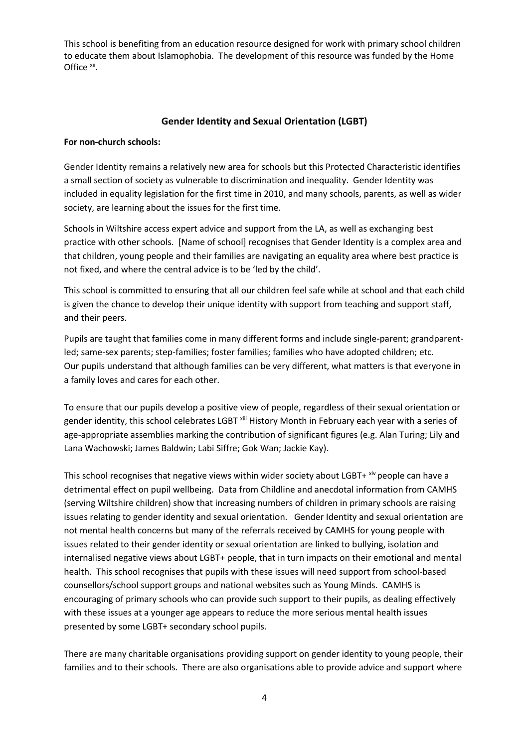This school is benefiting from an education resource designed for work with primary school children to educate them about Islamophobia. The development of this resource was funded by the Home Office xii.

#### **Gender Identity and Sexual Orientation (LGBT)**

#### **For non-church schools:**

Gender Identity remains a relatively new area for schools but this Protected Characteristic identifies a small section of society as vulnerable to discrimination and inequality. Gender Identity was included in equality legislation for the first time in 2010, and many schools, parents, as well as wider society, are learning about the issues for the first time.

Schools in Wiltshire access expert advice and support from the LA, as well as exchanging best practice with other schools. [Name of school] recognises that Gender Identity is a complex area and that children, young people and their families are navigating an equality area where best practice is not fixed, and where the central advice is to be 'led by the child'.

This school is committed to ensuring that all our children feel safe while at school and that each child is given the chance to develop their unique identity with support from teaching and support staff, and their peers.

Pupils are taught that families come in many different forms and include single-parent; grandparentled; same-sex parents; step-families; foster families; families who have adopted children; etc. Our pupils understand that although families can be very different, what matters is that everyone in a family loves and cares for each other.

To ensure that our pupils develop a positive view of people, regardless of their sexual orientation or gender identity, this school celebrates LGBT xiii History Month in February each year with a series of age-appropriate assemblies marking the contribution of significant figures (e.g. Alan Turing; Lily and Lana Wachowski; James Baldwin; Labi Siffre; Gok Wan; Jackie Kay).

This school recognises that negative views within wider society about LGBT+ xiv people can have a detrimental effect on pupil wellbeing. Data from Childline and anecdotal information from CAMHS (serving Wiltshire children) show that increasing numbers of children in primary schools are raising issues relating to gender identity and sexual orientation. Gender Identity and sexual orientation are not mental health concerns but many of the referrals received by CAMHS for young people with issues related to their gender identity or sexual orientation are linked to bullying, isolation and internalised negative views about LGBT+ people, that in turn impacts on their emotional and mental health. This school recognises that pupils with these issues will need support from school-based counsellors/school support groups and national websites such as Young Minds. CAMHS is encouraging of primary schools who can provide such support to their pupils, as dealing effectively with these issues at a younger age appears to reduce the more serious mental health issues presented by some LGBT+ secondary school pupils.

There are many charitable organisations providing support on gender identity to young people, their families and to their schools. There are also organisations able to provide advice and support where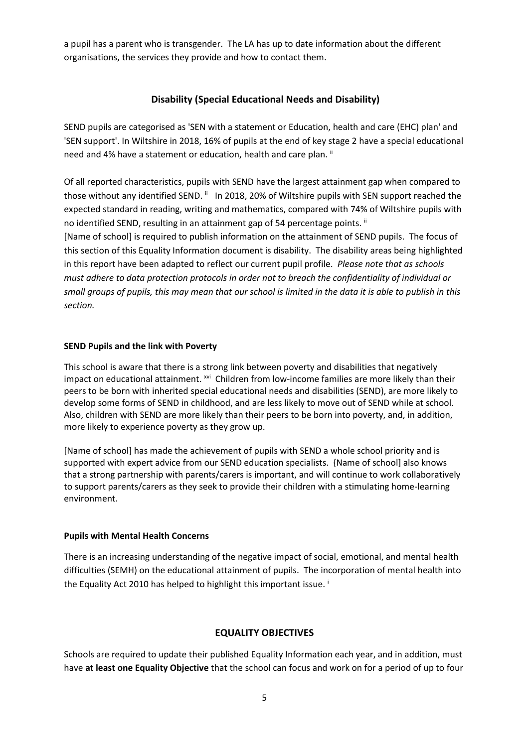a pupil has a parent who is transgender. The LA has up to date information about the different organisations, the services they provide and how to contact them.

## **Disability (Special Educational Needs and Disability)**

SEND pupils are categorised as 'SEN with a statement or Education, health and care (EHC) plan' and 'SEN support'. In Wiltshire in 2018, 16% of pupils at the end of key stage 2 have a special educational need and 4% have a statement or education, health and care plan. ii

Of all reported characteristics, pupils with SEND have the largest attainment gap when compared to those without any identified SEND.  $\text{ }^{\text{}}\text{ }$  In 2018, 20% of Wiltshire pupils with SEN support reached the expected standard in reading, writing and mathematics, compared with 74% of Wiltshire pupils with no identified SEND, resulting in an attainment gap of 54 percentage points. II

[Name of school] is required to publish information on the attainment of SEND pupils. The focus of this section of this Equality Information document is disability. The disability areas being highlighted in this report have been adapted to reflect our current pupil profile. *Please note that as schools must adhere to data protection protocols in order not to breach the confidentiality of individual or small groups of pupils, this may mean that our school is limited in the data it is able to publish in this section.*

#### **SEND Pupils and the link with Poverty**

This school is aware that there is a strong link between poverty and disabilities that negatively impact on educational attainment. <sup>xvi</sup> Children from low-income families are more likely than their peers to be born with inherited special educational needs and disabilities (SEND), are more likely to develop some forms of SEND in childhood, and are less likely to move out of SEND while at school. Also, children with SEND are more likely than their peers to be born into poverty, and, in addition, more likely to experience poverty as they grow up.

[Name of school] has made the achievement of pupils with SEND a whole school priority and is supported with expert advice from our SEND education specialists. {Name of school] also knows that a strong partnership with parents/carers is important, and will continue to work collaboratively to support parents/carers as they seek to provide their children with a stimulating home-learning environment.

#### **Pupils with Mental Health Concerns**

There is an increasing understanding of the negative impact of social, emotional, and mental health difficulties (SEMH) on the educational attainment of pupils. The incorporation of mental health into the Equality Act 2010 has helped to highlight this important issue.<sup>i</sup>

#### **EQUALITY OBJECTIVES**

Schools are required to update their published Equality Information each year, and in addition, must have **at least one Equality Objective** that the school can focus and work on for a period of up to four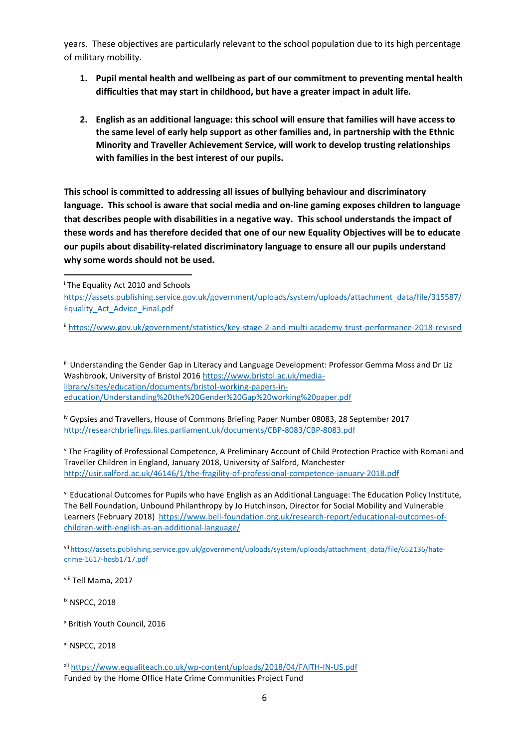years. These objectives are particularly relevant to the school population due to its high percentage of military mobility.

- **1. Pupil mental health and wellbeing as part of our commitment to preventing mental health difficulties that may start in childhood, but have a greater impact in adult life.**
- **2. English as an additional language: this school will ensure that families will have access to the same level of early help support as other families and, in partnership with the Ethnic Minority and Traveller Achievement Service, will work to develop trusting relationships with families in the best interest of our pupils.**

**This school is committed to addressing all issues of bullying behaviour and discriminatory language. This school is aware that social media and on-line gaming exposes children to language that describes people with disabilities in a negative way. This school understands the impact of these words and has therefore decided that one of our new Equality Objectives will be to educate our pupils about disability-related discriminatory language to ensure all our pupils understand why some words should not be used.** 

1

iii Understanding the Gender Gap in Literacy and Language Development: Professor Gemma Moss and Dr Liz Washbrook, University of Bristol 2016 [https://www.bristol.ac.uk/media](https://www.bristol.ac.uk/media-library/sites/education/documents/bristol-working-papers-in-education/Understanding%20the%20Gender%20Gap%20working%20paper.pdf)[library/sites/education/documents/bristol-working-papers-in](https://www.bristol.ac.uk/media-library/sites/education/documents/bristol-working-papers-in-education/Understanding%20the%20Gender%20Gap%20working%20paper.pdf)[education/Understanding%20the%20Gender%20Gap%20working%20paper.pdf](https://www.bristol.ac.uk/media-library/sites/education/documents/bristol-working-papers-in-education/Understanding%20the%20Gender%20Gap%20working%20paper.pdf)

iv Gypsies and Travellers, House of Commons Briefing Paper Number 08083, 28 September 2017 <http://researchbriefings.files.parliament.uk/documents/CBP-8083/CBP-8083.pdf>

<sup>v</sup> The Fragility of Professional Competence, A Preliminary Account of Child Protection Practice with Romani and Traveller Children in England, January 2018, University of Salford, Manchester <http://usir.salford.ac.uk/46146/1/the-fragility-of-professional-competence-january-2018.pdf>

vi Educational Outcomes for Pupils who have English as an Additional Language: The Education Policy Institute, The Bell Foundation, Unbound Philanthropy by Jo Hutchinson, Director for Social Mobility and Vulnerable Learners (February 2018) [https://www.bell-foundation.org.uk/research-report/educational-outcomes-of](https://www.bell-foundation.org.uk/research-report/educational-outcomes-of-children-with-english-as-an-additional-language/)[children-with-english-as-an-additional-language/](https://www.bell-foundation.org.uk/research-report/educational-outcomes-of-children-with-english-as-an-additional-language/)

vii [https://assets.publishing.service.gov.uk/government/uploads/system/uploads/attachment\\_data/file/652136/hate](https://assets.publishing.service.gov.uk/government/uploads/system/uploads/attachment_data/file/652136/hate-crime-1617-hosb1717.pdf)[crime-1617-hosb1717.pdf](https://assets.publishing.service.gov.uk/government/uploads/system/uploads/attachment_data/file/652136/hate-crime-1617-hosb1717.pdf)

viii Tell Mama, 2017

ix NSPCC, 2018

<sup>x</sup> British Youth Council, 2016

xi NSPCC, 2018

<sup>i</sup> The Equality Act 2010 and Schools

[https://assets.publishing.service.gov.uk/government/uploads/system/uploads/attachment\\_data/file/315587/](https://assets.publishing.service.gov.uk/government/uploads/system/uploads/attachment_data/file/315587/Equality_Act_Advice_Final.pdf) [Equality\\_Act\\_Advice\\_Final.pdf](https://assets.publishing.service.gov.uk/government/uploads/system/uploads/attachment_data/file/315587/Equality_Act_Advice_Final.pdf)

ii <https://www.gov.uk/government/statistics/key-stage-2-and-multi-academy-trust-performance-2018-revised>

xii <https://www.equaliteach.co.uk/wp-content/uploads/2018/04/FAITH-IN-US.pdf> Funded by the Home Office Hate Crime Communities Project Fund